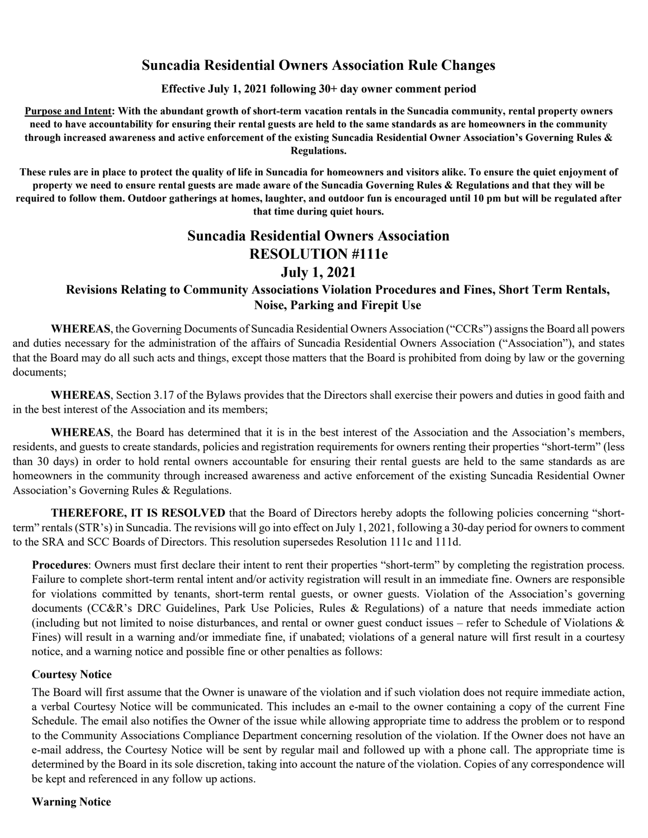## **Suncadia Residential Owners Association Rule Changes**

**Effective July 1, 2021 following 30+ day owner comment period**

**Purpose and Intent: With the abundant growth of short-term vacation rentals in the Suncadia community, rental property owners need to have accountability for ensuring their rental guests are held to the same standards as are homeowners in the community through increased awareness and active enforcement of the existing Suncadia Residential Owner Association's Governing Rules & Regulations.**

**These rules are in place to protect the quality of life in Suncadia for homeowners and visitors alike. To ensure the quiet enjoyment of property we need to ensure rental guests are made aware of the Suncadia Governing Rules & Regulations and that they will be required to follow them. Outdoor gatherings at homes, laughter, and outdoor fun is encouraged until 10 pm but will be regulated after that time during quiet hours.**

# **Suncadia Residential Owners Association RESOLUTION #111e July 1, 2021**

## **Revisions Relating to Community Associations Violation Procedures and Fines, Short Term Rentals, Noise, Parking and Firepit Use**

**WHEREAS**, the Governing Documents of Suncadia Residential Owners Association ("CCRs") assigns the Board all powers and duties necessary for the administration of the affairs of Suncadia Residential Owners Association ("Association"), and states that the Board may do all such acts and things, except those matters that the Board is prohibited from doing by law or the governing documents;

**WHEREAS**, Section 3.17 of the Bylaws provides that the Directors shall exercise their powers and duties in good faith and in the best interest of the Association and its members;

**WHEREAS**, the Board has determined that it is in the best interest of the Association and the Association's members, residents, and guests to create standards, policies and registration requirements for owners renting their properties "short-term" (less than 30 days) in order to hold rental owners accountable for ensuring their rental guests are held to the same standards as are homeowners in the community through increased awareness and active enforcement of the existing Suncadia Residential Owner Association's Governing Rules & Regulations.

**THEREFORE, IT IS RESOLVED** that the Board of Directors hereby adopts the following policies concerning "shortterm" rentals (STR's) in Suncadia. The revisions will go into effect on July 1, 2021, following a 30-day period for owners to comment to the SRA and SCC Boards of Directors. This resolution supersedes Resolution 111c and 111d.

**Procedures**: Owners must first declare their intent to rent their properties "short-term" by completing the registration process. Failure to complete short-term rental intent and/or activity registration will result in an immediate fine. Owners are responsible for violations committed by tenants, short-term rental guests, or owner guests. Violation of the Association's governing documents (CC&R's DRC Guidelines, Park Use Policies, Rules & Regulations) of a nature that needs immediate action (including but not limited to noise disturbances, and rental or owner guest conduct issues – refer to Schedule of Violations  $\&$ Fines) will result in a warning and/or immediate fine, if unabated; violations of a general nature will first result in a courtesy notice, and a warning notice and possible fine or other penalties as follows:

#### **Courtesy Notice**

The Board will first assume that the Owner is unaware of the violation and if such violation does not require immediate action, a verbal Courtesy Notice will be communicated. This includes an e-mail to the owner containing a copy of the current Fine Schedule. The email also notifies the Owner of the issue while allowing appropriate time to address the problem or to respond to the Community Associations Compliance Department concerning resolution of the violation. If the Owner does not have an e-mail address, the Courtesy Notice will be sent by regular mail and followed up with a phone call. The appropriate time is determined by the Board in its sole discretion, taking into account the nature of the violation. Copies of any correspondence will be kept and referenced in any follow up actions.

#### **Warning Notice**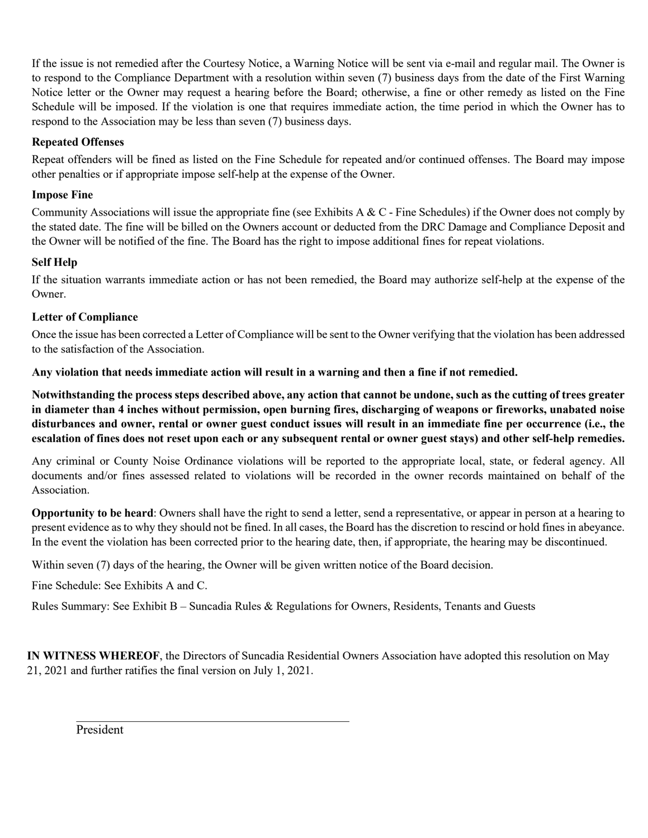If the issue is not remedied after the Courtesy Notice, a Warning Notice will be sent via e-mail and regular mail. The Owner is to respond to the Compliance Department with a resolution within seven (7) business days from the date of the First Warning Notice letter or the Owner may request a hearing before the Board; otherwise, a fine or other remedy as listed on the Fine Schedule will be imposed. If the violation is one that requires immediate action, the time period in which the Owner has to respond to the Association may be less than seven (7) business days.

## **Repeated Offenses**

Repeat offenders will be fined as listed on the Fine Schedule for repeated and/or continued offenses. The Board may impose other penalties or if appropriate impose self-help at the expense of the Owner.

## **Impose Fine**

Community Associations will issue the appropriate fine (see Exhibits A & C - Fine Schedules) if the Owner does not comply by the stated date. The fine will be billed on the Owners account or deducted from the DRC Damage and Compliance Deposit and the Owner will be notified of the fine. The Board has the right to impose additional fines for repeat violations.

### **Self Help**

If the situation warrants immediate action or has not been remedied, the Board may authorize self-help at the expense of the Owner.

### **Letter of Compliance**

Once the issue has been corrected a Letter of Compliance will be sent to the Owner verifying that the violation has been addressed to the satisfaction of the Association.

**Any violation that needs immediate action will result in a warning and then a fine if not remedied.** 

**Notwithstanding the process steps described above, any action that cannot be undone, such as the cutting of trees greater in diameter than 4 inches without permission, open burning fires, discharging of weapons or fireworks, unabated noise disturbances and owner, rental or owner guest conduct issues will result in an immediate fine per occurrence (i.e., the escalation of fines does not reset upon each or any subsequent rental or owner guest stays) and other self-help remedies.**

Any criminal or County Noise Ordinance violations will be reported to the appropriate local, state, or federal agency. All documents and/or fines assessed related to violations will be recorded in the owner records maintained on behalf of the Association.

**Opportunity to be heard**: Owners shall have the right to send a letter, send a representative, or appear in person at a hearing to present evidence as to why they should not be fined. In all cases, the Board has the discretion to rescind or hold fines in abeyance. In the event the violation has been corrected prior to the hearing date, then, if appropriate, the hearing may be discontinued.

Within seven (7) days of the hearing, the Owner will be given written notice of the Board decision.

Fine Schedule: See Exhibits A and C.

Rules Summary: See Exhibit B – Suncadia Rules & Regulations for Owners, Residents, Tenants and Guests

**IN WITNESS WHEREOF**, the Directors of Suncadia Residential Owners Association have adopted this resolution on May 21, 2021 and further ratifies the final version on July 1, 2021.

President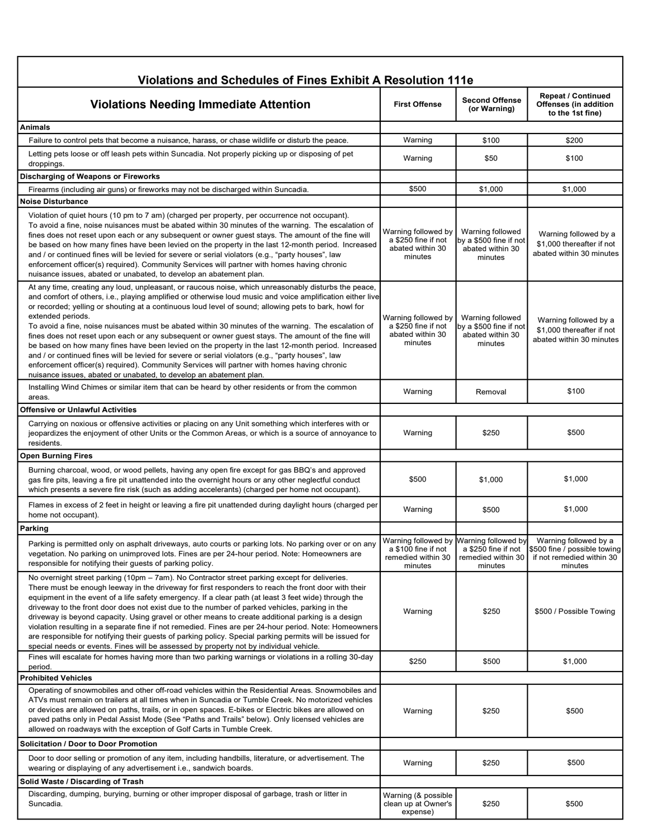| Violations and Schedules of Fines Exhibit A Resolution 111e                                                                                                                                                                                                                                                                                                                                                                                                                                                                                                                                                                                                                                                                                                                                                                                                                                                                                   |                                                                             |                                                                             |                                                                                               |
|-----------------------------------------------------------------------------------------------------------------------------------------------------------------------------------------------------------------------------------------------------------------------------------------------------------------------------------------------------------------------------------------------------------------------------------------------------------------------------------------------------------------------------------------------------------------------------------------------------------------------------------------------------------------------------------------------------------------------------------------------------------------------------------------------------------------------------------------------------------------------------------------------------------------------------------------------|-----------------------------------------------------------------------------|-----------------------------------------------------------------------------|-----------------------------------------------------------------------------------------------|
| <b>Violations Needing Immediate Attention</b>                                                                                                                                                                                                                                                                                                                                                                                                                                                                                                                                                                                                                                                                                                                                                                                                                                                                                                 | <b>First Offense</b>                                                        | <b>Second Offense</b><br>(or Warning)                                       | <b>Repeat / Continued</b><br>Offenses (in addition<br>to the 1st fine)                        |
| <b>Animals</b>                                                                                                                                                                                                                                                                                                                                                                                                                                                                                                                                                                                                                                                                                                                                                                                                                                                                                                                                |                                                                             |                                                                             |                                                                                               |
| Failure to control pets that become a nuisance, harass, or chase wildlife or disturb the peace.                                                                                                                                                                                                                                                                                                                                                                                                                                                                                                                                                                                                                                                                                                                                                                                                                                               | Warning                                                                     | \$100                                                                       | \$200                                                                                         |
| Letting pets loose or off leash pets within Suncadia. Not properly picking up or disposing of pet<br>droppings.                                                                                                                                                                                                                                                                                                                                                                                                                                                                                                                                                                                                                                                                                                                                                                                                                               | Warning                                                                     | \$50                                                                        | \$100                                                                                         |
| Discharging of Weapons or Fireworks                                                                                                                                                                                                                                                                                                                                                                                                                                                                                                                                                                                                                                                                                                                                                                                                                                                                                                           |                                                                             |                                                                             |                                                                                               |
| Firearms (including air guns) or fireworks may not be discharged within Suncadia.                                                                                                                                                                                                                                                                                                                                                                                                                                                                                                                                                                                                                                                                                                                                                                                                                                                             | \$500                                                                       | \$1,000                                                                     | \$1,000                                                                                       |
| <b>Noise Disturbance</b><br>Violation of quiet hours (10 pm to 7 am) (charged per property, per occurrence not occupant).<br>To avoid a fine, noise nuisances must be abated within 30 minutes of the warning. The escalation of<br>fines does not reset upon each or any subsequent or owner guest stays. The amount of the fine will<br>be based on how many fines have been levied on the property in the last 12-month period. Increased<br>and / or continued fines will be levied for severe or serial violators (e.g., "party houses", law<br>enforcement officer(s) required). Community Services will partner with homes having chronic<br>nuisance issues, abated or unabated, to develop an abatement plan.                                                                                                                                                                                                                        | Warning followed by<br>a \$250 fine if not<br>abated within 30<br>minutes   | Warning followed<br>by a \$500 fine if not<br>abated within 30<br>minutes   | Warning followed by a<br>\$1,000 thereafter if not<br>abated within 30 minutes                |
| At any time, creating any loud, unpleasant, or raucous noise, which unreasonably disturbs the peace,<br>and comfort of others, i.e., playing amplified or otherwise loud music and voice amplification either live<br>or recorded; yelling or shouting at a continuous loud level of sound; allowing pets to bark, howl for<br>extended periods.<br>To avoid a fine, noise nuisances must be abated within 30 minutes of the warning. The escalation of<br>fines does not reset upon each or any subsequent or owner guest stays. The amount of the fine will<br>be based on how many fines have been levied on the property in the last 12-month period. Increased<br>and / or continued fines will be levied for severe or serial violators (e.g., "party houses", law<br>enforcement officer(s) required). Community Services will partner with homes having chronic<br>nuisance issues, abated or unabated, to develop an abatement plan. | Warning followed by<br>a \$250 fine if not<br>abated within 30<br>minutes   | Warning followed<br>by a \$500 fine if not<br>abated within 30<br>minutes   | Warning followed by a<br>\$1,000 thereafter if not<br>abated within 30 minutes                |
| Installing Wind Chimes or similar item that can be heard by other residents or from the common<br>areas.                                                                                                                                                                                                                                                                                                                                                                                                                                                                                                                                                                                                                                                                                                                                                                                                                                      | Warning                                                                     | Removal                                                                     | \$100                                                                                         |
| Offensive or Unlawful Activities                                                                                                                                                                                                                                                                                                                                                                                                                                                                                                                                                                                                                                                                                                                                                                                                                                                                                                              |                                                                             |                                                                             |                                                                                               |
| Carrying on noxious or offensive activities or placing on any Unit something which interferes with or<br>jeopardizes the enjoyment of other Units or the Common Areas, or which is a source of annoyance to<br>residents.                                                                                                                                                                                                                                                                                                                                                                                                                                                                                                                                                                                                                                                                                                                     | Warning                                                                     | \$250                                                                       | \$500                                                                                         |
| <b>Open Burning Fires</b>                                                                                                                                                                                                                                                                                                                                                                                                                                                                                                                                                                                                                                                                                                                                                                                                                                                                                                                     |                                                                             |                                                                             |                                                                                               |
| Burning charcoal, wood, or wood pellets, having any open fire except for gas BBQ's and approved<br>gas fire pits, leaving a fire pit unattended into the overnight hours or any other neglectful conduct<br>which presents a severe fire risk (such as adding accelerants) (charged per home not occupant).                                                                                                                                                                                                                                                                                                                                                                                                                                                                                                                                                                                                                                   | \$500                                                                       | \$1,000                                                                     | \$1,000                                                                                       |
| Flames in excess of 2 feet in height or leaving a fire pit unattended during daylight hours (charged per<br>home not occupant).                                                                                                                                                                                                                                                                                                                                                                                                                                                                                                                                                                                                                                                                                                                                                                                                               | Warning                                                                     | \$500                                                                       | \$1,000                                                                                       |
| Parking                                                                                                                                                                                                                                                                                                                                                                                                                                                                                                                                                                                                                                                                                                                                                                                                                                                                                                                                       |                                                                             |                                                                             |                                                                                               |
| Parking is permitted only on asphalt driveways, auto courts or parking lots. No parking over or on any<br>vegetation. No parking on unimproved lots. Fines are per 24-hour period. Note: Homeowners are<br>responsible for notifying their guests of parking policy.                                                                                                                                                                                                                                                                                                                                                                                                                                                                                                                                                                                                                                                                          | Warning followed by<br>a \$100 fine if not<br>remedied within 30<br>minutes | Warning followed by<br>a \$250 fine if not<br>remedied within 30<br>minutes | Warning followed by a<br>\$500 fine / possible towing<br>if not remedied within 30<br>minutes |
| No overnight street parking (10pm – 7am). No Contractor street parking except for deliveries.<br>There must be enough leeway in the driveway for first responders to reach the front door with their<br>equipment in the event of a life safety emergency. If a clear path (at least 3 feet wide) through the<br>driveway to the front door does not exist due to the number of parked vehicles, parking in the<br>driveway is beyond capacity. Using gravel or other means to create additional parking is a design<br>violation resulting in a separate fine if not remedied. Fines are per 24-hour period. Note: Homeowners<br>are responsible for notifying their guests of parking policy. Special parking permits will be issued for<br>special needs or events. Fines will be assessed by property not by individual vehicle.                                                                                                          | Warning                                                                     | \$250                                                                       | \$500 / Possible Towing                                                                       |
| Fines will escalate for homes having more than two parking warnings or violations in a rolling 30-day<br>period.                                                                                                                                                                                                                                                                                                                                                                                                                                                                                                                                                                                                                                                                                                                                                                                                                              | \$250                                                                       | \$500                                                                       | \$1,000                                                                                       |
| <b>Prohibited Vehicles</b>                                                                                                                                                                                                                                                                                                                                                                                                                                                                                                                                                                                                                                                                                                                                                                                                                                                                                                                    |                                                                             |                                                                             |                                                                                               |
| Operating of snowmobiles and other off-road vehicles within the Residential Areas. Snowmobiles and<br>ATVs must remain on trailers at all times when in Suncadia or Tumble Creek. No motorized vehicles<br>or devices are allowed on paths, trails, or in open spaces. E-bikes or Electric bikes are allowed on<br>paved paths only in Pedal Assist Mode (See "Paths and Trails" below). Only licensed vehicles are<br>allowed on roadways with the exception of Golf Carts in Tumble Creek.                                                                                                                                                                                                                                                                                                                                                                                                                                                  | Warning                                                                     | \$250                                                                       | \$500                                                                                         |
| Solicitation / Door to Door Promotion                                                                                                                                                                                                                                                                                                                                                                                                                                                                                                                                                                                                                                                                                                                                                                                                                                                                                                         |                                                                             |                                                                             |                                                                                               |
| Door to door selling or promotion of any item, including handbills, literature, or advertisement. The<br>wearing or displaying of any advertisement i.e., sandwich boards.                                                                                                                                                                                                                                                                                                                                                                                                                                                                                                                                                                                                                                                                                                                                                                    | Warning                                                                     | \$250                                                                       | \$500                                                                                         |
| Solid Waste / Discarding of Trash                                                                                                                                                                                                                                                                                                                                                                                                                                                                                                                                                                                                                                                                                                                                                                                                                                                                                                             |                                                                             |                                                                             |                                                                                               |
| Discarding, dumping, burying, burning or other improper disposal of garbage, trash or litter in<br>Suncadia.                                                                                                                                                                                                                                                                                                                                                                                                                                                                                                                                                                                                                                                                                                                                                                                                                                  | Warning (& possible<br>clean up at Owner's<br>expense)                      | \$250                                                                       | \$500                                                                                         |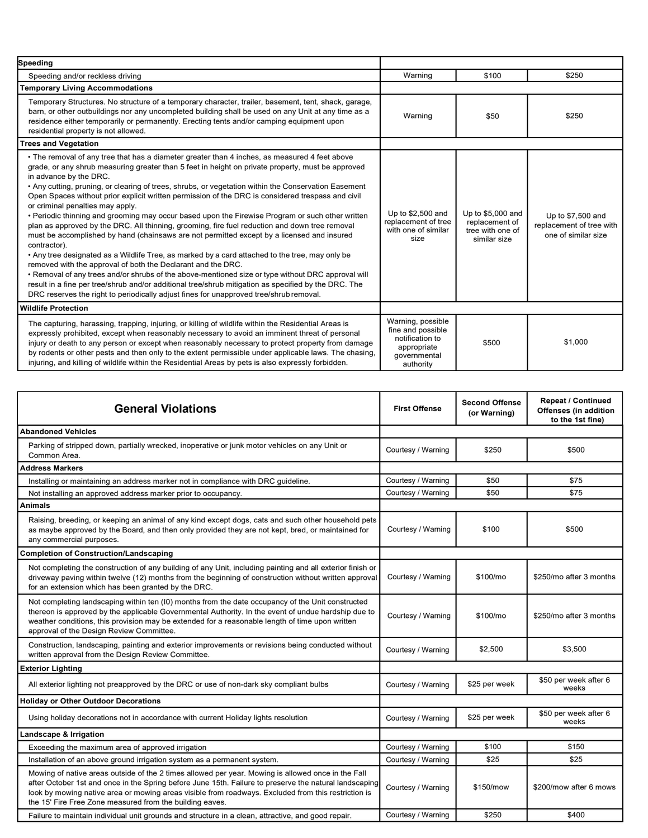| Speeding                                                                                                                                                                                                                                                                                                                                                                                                                                                                                                                                                                                                                                                                                                                                                                                                                                                                                                                                                                                                                                                                                                                                                                                                                                                                     |                                                                                                       |                                                                         |                                                                      |
|------------------------------------------------------------------------------------------------------------------------------------------------------------------------------------------------------------------------------------------------------------------------------------------------------------------------------------------------------------------------------------------------------------------------------------------------------------------------------------------------------------------------------------------------------------------------------------------------------------------------------------------------------------------------------------------------------------------------------------------------------------------------------------------------------------------------------------------------------------------------------------------------------------------------------------------------------------------------------------------------------------------------------------------------------------------------------------------------------------------------------------------------------------------------------------------------------------------------------------------------------------------------------|-------------------------------------------------------------------------------------------------------|-------------------------------------------------------------------------|----------------------------------------------------------------------|
| Speeding and/or reckless driving                                                                                                                                                                                                                                                                                                                                                                                                                                                                                                                                                                                                                                                                                                                                                                                                                                                                                                                                                                                                                                                                                                                                                                                                                                             | Warning                                                                                               | \$100                                                                   | \$250                                                                |
| <b>Temporary Living Accommodations</b>                                                                                                                                                                                                                                                                                                                                                                                                                                                                                                                                                                                                                                                                                                                                                                                                                                                                                                                                                                                                                                                                                                                                                                                                                                       |                                                                                                       |                                                                         |                                                                      |
| Temporary Structures. No structure of a temporary character, trailer, basement, tent, shack, garage,<br>barn, or other outbuildings nor any uncompleted building shall be used on any Unit at any time as a<br>residence either temporarily or permanently. Erecting tents and/or camping equipment upon<br>residential property is not allowed.                                                                                                                                                                                                                                                                                                                                                                                                                                                                                                                                                                                                                                                                                                                                                                                                                                                                                                                             | Warning                                                                                               | \$50                                                                    | \$250                                                                |
| <b>Trees and Vegetation</b>                                                                                                                                                                                                                                                                                                                                                                                                                                                                                                                                                                                                                                                                                                                                                                                                                                                                                                                                                                                                                                                                                                                                                                                                                                                  |                                                                                                       |                                                                         |                                                                      |
| • The removal of any tree that has a diameter greater than 4 inches, as measured 4 feet above<br>grade, or any shrub measuring greater than 5 feet in height on private property, must be approved<br>in advance by the DRC.<br>• Any cutting, pruning, or clearing of trees, shrubs, or vegetation within the Conservation Easement<br>Open Spaces without prior explicit written permission of the DRC is considered trespass and civil<br>or criminal penalties may apply.<br>• Periodic thinning and grooming may occur based upon the Firewise Program or such other written<br>plan as approved by the DRC. All thinning, grooming, fire fuel reduction and down tree removal<br>must be accomplished by hand (chainsaws are not permitted except by a licensed and insured<br>contractor).<br>• Any tree designated as a Wildlife Tree, as marked by a card attached to the tree, may only be<br>removed with the approval of both the Declarant and the DRC.<br>• Removal of any trees and/or shrubs of the above-mentioned size or type without DRC approval will<br>result in a fine per tree/shrub and/or additional tree/shrub mitigation as specified by the DRC. The<br>DRC reserves the right to periodically adjust fines for unapproved tree/shrub removal. | Up to \$2,500 and<br>replacement of tree<br>with one of similar<br>size                               | Up to \$5,000 and<br>replacement of<br>tree with one of<br>similar size | Up to \$7,500 and<br>replacement of tree with<br>one of similar size |
| <b>Wildlife Protection</b>                                                                                                                                                                                                                                                                                                                                                                                                                                                                                                                                                                                                                                                                                                                                                                                                                                                                                                                                                                                                                                                                                                                                                                                                                                                   |                                                                                                       |                                                                         |                                                                      |
| The capturing, harassing, trapping, injuring, or killing of wildlife within the Residential Areas is<br>expressly prohibited, except when reasonably necessary to avoid an imminent threat of personal<br>injury or death to any person or except when reasonably necessary to protect property from damage<br>by rodents or other pests and then only to the extent permissible under applicable laws. The chasing,<br>injuring, and killing of wildlife within the Residential Areas by pets is also expressly forbidden.                                                                                                                                                                                                                                                                                                                                                                                                                                                                                                                                                                                                                                                                                                                                                  | Warning, possible<br>fine and possible<br>notification to<br>appropriate<br>governmental<br>authority | \$500                                                                   | \$1,000                                                              |

| <b>General Violations</b>                                                                                                                                                                                                                                                                                                                                                       | <b>First Offense</b> | <b>Second Offense</b><br>(or Warning) | <b>Repeat / Continued</b><br>Offenses (in addition<br>to the 1st fine) |
|---------------------------------------------------------------------------------------------------------------------------------------------------------------------------------------------------------------------------------------------------------------------------------------------------------------------------------------------------------------------------------|----------------------|---------------------------------------|------------------------------------------------------------------------|
| <b>Abandoned Vehicles</b>                                                                                                                                                                                                                                                                                                                                                       |                      |                                       |                                                                        |
| Parking of stripped down, partially wrecked, inoperative or junk motor vehicles on any Unit or<br>Common Area.                                                                                                                                                                                                                                                                  | Courtesy / Warning   | \$250                                 | \$500                                                                  |
| Address Markers                                                                                                                                                                                                                                                                                                                                                                 |                      |                                       |                                                                        |
| Installing or maintaining an address marker not in compliance with DRC guideline.                                                                                                                                                                                                                                                                                               | Courtesy / Warning   | \$50                                  | \$75                                                                   |
| Not installing an approved address marker prior to occupancy.                                                                                                                                                                                                                                                                                                                   | Courtesy / Warning   | \$50                                  | \$75                                                                   |
| <b>Animals</b>                                                                                                                                                                                                                                                                                                                                                                  |                      |                                       |                                                                        |
| Raising, breeding, or keeping an animal of any kind except dogs, cats and such other household pets<br>as maybe approved by the Board, and then only provided they are not kept, bred, or maintained for<br>any commercial purposes.                                                                                                                                            | Courtesy / Warning   | \$100                                 | \$500                                                                  |
| <b>Completion of Construction/Landscaping</b>                                                                                                                                                                                                                                                                                                                                   |                      |                                       |                                                                        |
| Not completing the construction of any building of any Unit, including painting and all exterior finish or<br>driveway paving within twelve (12) months from the beginning of construction without written approval<br>for an extension which has been granted by the DRC.                                                                                                      | Courtesy / Warning   | \$100/mo                              | \$250/mo after 3 months                                                |
| Not completing landscaping within ten (I0) months from the date occupancy of the Unit constructed<br>thereon is approved by the applicable Governmental Authority. In the event of undue hardship due to<br>weather conditions, this provision may be extended for a reasonable length of time upon written<br>approval of the Design Review Committee.                         | Courtesy / Warning   | \$100/mo                              | \$250/mo after 3 months                                                |
| Construction, landscaping, painting and exterior improvements or revisions being conducted without<br>written approval from the Design Review Committee.                                                                                                                                                                                                                        | Courtesy / Warning   | \$2,500                               | \$3,500                                                                |
| Exterior Lighting                                                                                                                                                                                                                                                                                                                                                               |                      |                                       |                                                                        |
| All exterior lighting not preapproved by the DRC or use of non-dark sky compliant bulbs                                                                                                                                                                                                                                                                                         | Courtesy / Warning   | \$25 per week                         | \$50 per week after 6<br>weeks                                         |
| <b>Holiday or Other Outdoor Decorations</b>                                                                                                                                                                                                                                                                                                                                     |                      |                                       |                                                                        |
| Using holiday decorations not in accordance with current Holiday lights resolution                                                                                                                                                                                                                                                                                              | Courtesy / Warning   | \$25 per week                         | \$50 per week after 6<br>weeks                                         |
| Landscape & Irrigation                                                                                                                                                                                                                                                                                                                                                          |                      |                                       |                                                                        |
| Exceeding the maximum area of approved irrigation                                                                                                                                                                                                                                                                                                                               | Courtesy / Warning   | \$100                                 | \$150                                                                  |
| Installation of an above ground irrigation system as a permanent system.                                                                                                                                                                                                                                                                                                        | Courtesy / Warning   | \$25                                  | \$25                                                                   |
| Mowing of native areas outside of the 2 times allowed per year. Mowing is allowed once in the Fall<br>after October 1st and once in the Spring before June 15th. Failure to preserve the natural landscaping<br>look by mowing native area or mowing areas visible from roadways. Excluded from this restriction is<br>the 15' Fire Free Zone measured from the building eaves. | Courtesy / Warning   | \$150/mow                             | \$200/mow after 6 mows                                                 |
| Failure to maintain individual unit grounds and structure in a clean, attractive, and good repair.                                                                                                                                                                                                                                                                              | Courtesy / Warning   | \$250                                 | \$400                                                                  |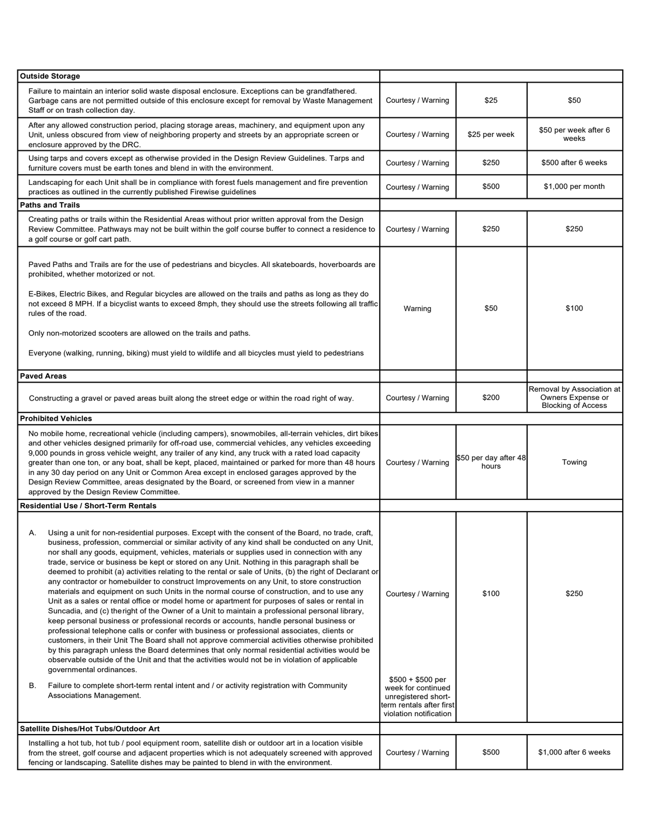| <b>Outside Storage</b>                                                                                                                                                                                                                                                                                                                                                                                                                                                                                                                                                                                                                                                                                                                                                                                                                                                                                                                                                                                                                                                                                                                                                                                                                                                                                                                                                                                                                                                                                                                                                               |                                                                                                                                            |                                |                                                                             |
|--------------------------------------------------------------------------------------------------------------------------------------------------------------------------------------------------------------------------------------------------------------------------------------------------------------------------------------------------------------------------------------------------------------------------------------------------------------------------------------------------------------------------------------------------------------------------------------------------------------------------------------------------------------------------------------------------------------------------------------------------------------------------------------------------------------------------------------------------------------------------------------------------------------------------------------------------------------------------------------------------------------------------------------------------------------------------------------------------------------------------------------------------------------------------------------------------------------------------------------------------------------------------------------------------------------------------------------------------------------------------------------------------------------------------------------------------------------------------------------------------------------------------------------------------------------------------------------|--------------------------------------------------------------------------------------------------------------------------------------------|--------------------------------|-----------------------------------------------------------------------------|
| Failure to maintain an interior solid waste disposal enclosure. Exceptions can be grandfathered.<br>Garbage cans are not permitted outside of this enclosure except for removal by Waste Management<br>Staff or on trash collection day.                                                                                                                                                                                                                                                                                                                                                                                                                                                                                                                                                                                                                                                                                                                                                                                                                                                                                                                                                                                                                                                                                                                                                                                                                                                                                                                                             | Courtesy / Warning                                                                                                                         | \$25                           | \$50                                                                        |
| After any allowed construction period, placing storage areas, machinery, and equipment upon any<br>Unit, unless obscured from view of neighboring property and streets by an appropriate screen or<br>enclosure approved by the DRC.                                                                                                                                                                                                                                                                                                                                                                                                                                                                                                                                                                                                                                                                                                                                                                                                                                                                                                                                                                                                                                                                                                                                                                                                                                                                                                                                                 | Courtesy / Warning                                                                                                                         | \$25 per week                  | \$50 per week after 6<br>weeks                                              |
| Using tarps and covers except as otherwise provided in the Design Review Guidelines. Tarps and<br>furniture covers must be earth tones and blend in with the environment.                                                                                                                                                                                                                                                                                                                                                                                                                                                                                                                                                                                                                                                                                                                                                                                                                                                                                                                                                                                                                                                                                                                                                                                                                                                                                                                                                                                                            | Courtesy / Warning                                                                                                                         | \$250                          | \$500 after 6 weeks                                                         |
| Landscaping for each Unit shall be in compliance with forest fuels management and fire prevention<br>practices as outlined in the currently published Firewise guidelines                                                                                                                                                                                                                                                                                                                                                                                                                                                                                                                                                                                                                                                                                                                                                                                                                                                                                                                                                                                                                                                                                                                                                                                                                                                                                                                                                                                                            | Courtesy / Warning                                                                                                                         | \$500                          | \$1,000 per month                                                           |
| <b>Paths and Trails</b>                                                                                                                                                                                                                                                                                                                                                                                                                                                                                                                                                                                                                                                                                                                                                                                                                                                                                                                                                                                                                                                                                                                                                                                                                                                                                                                                                                                                                                                                                                                                                              |                                                                                                                                            |                                |                                                                             |
| Creating paths or trails within the Residential Areas without prior written approval from the Design<br>Review Committee. Pathways may not be built within the golf course buffer to connect a residence to<br>a golf course or golf cart path.                                                                                                                                                                                                                                                                                                                                                                                                                                                                                                                                                                                                                                                                                                                                                                                                                                                                                                                                                                                                                                                                                                                                                                                                                                                                                                                                      | Courtesy / Warning                                                                                                                         | \$250                          | \$250                                                                       |
| Paved Paths and Trails are for the use of pedestrians and bicycles. All skateboards, hoverboards are<br>prohibited, whether motorized or not.<br>E-Bikes, Electric Bikes, and Regular bicycles are allowed on the trails and paths as long as they do<br>not exceed 8 MPH. If a bicyclist wants to exceed 8mph, they should use the streets following all traffic                                                                                                                                                                                                                                                                                                                                                                                                                                                                                                                                                                                                                                                                                                                                                                                                                                                                                                                                                                                                                                                                                                                                                                                                                    |                                                                                                                                            |                                |                                                                             |
| rules of the road.                                                                                                                                                                                                                                                                                                                                                                                                                                                                                                                                                                                                                                                                                                                                                                                                                                                                                                                                                                                                                                                                                                                                                                                                                                                                                                                                                                                                                                                                                                                                                                   | Warning                                                                                                                                    | \$50                           | \$100                                                                       |
| Only non-motorized scooters are allowed on the trails and paths.                                                                                                                                                                                                                                                                                                                                                                                                                                                                                                                                                                                                                                                                                                                                                                                                                                                                                                                                                                                                                                                                                                                                                                                                                                                                                                                                                                                                                                                                                                                     |                                                                                                                                            |                                |                                                                             |
| Everyone (walking, running, biking) must yield to wildlife and all bicycles must yield to pedestrians                                                                                                                                                                                                                                                                                                                                                                                                                                                                                                                                                                                                                                                                                                                                                                                                                                                                                                                                                                                                                                                                                                                                                                                                                                                                                                                                                                                                                                                                                |                                                                                                                                            |                                |                                                                             |
| <b>Paved Areas</b>                                                                                                                                                                                                                                                                                                                                                                                                                                                                                                                                                                                                                                                                                                                                                                                                                                                                                                                                                                                                                                                                                                                                                                                                                                                                                                                                                                                                                                                                                                                                                                   |                                                                                                                                            |                                |                                                                             |
| Constructing a gravel or paved areas built along the street edge or within the road right of way.                                                                                                                                                                                                                                                                                                                                                                                                                                                                                                                                                                                                                                                                                                                                                                                                                                                                                                                                                                                                                                                                                                                                                                                                                                                                                                                                                                                                                                                                                    | Courtesy / Warning                                                                                                                         | \$200                          | Removal by Association at<br>Owners Expense or<br><b>Blocking of Access</b> |
| <b>Prohibited Vehicles</b>                                                                                                                                                                                                                                                                                                                                                                                                                                                                                                                                                                                                                                                                                                                                                                                                                                                                                                                                                                                                                                                                                                                                                                                                                                                                                                                                                                                                                                                                                                                                                           |                                                                                                                                            |                                |                                                                             |
| No mobile home, recreational vehicle (including campers), snowmobiles, all-terrain vehicles, dirt bikes<br>and other vehicles designed primarily for off-road use, commercial vehicles, any vehicles exceeding<br>9,000 pounds in gross vehicle weight, any trailer of any kind, any truck with a rated load capacity<br>greater than one ton, or any boat, shall be kept, placed, maintained or parked for more than 48 hours<br>in any 30 day period on any Unit or Common Area except in enclosed garages approved by the<br>Design Review Committee, areas designated by the Board, or screened from view in a manner<br>approved by the Design Review Committee.                                                                                                                                                                                                                                                                                                                                                                                                                                                                                                                                                                                                                                                                                                                                                                                                                                                                                                                | Courtesy / Warning                                                                                                                         | \$50 per day after 48<br>hours | Towing                                                                      |
| <b>Residential Use / Short-Term Rentals</b>                                                                                                                                                                                                                                                                                                                                                                                                                                                                                                                                                                                                                                                                                                                                                                                                                                                                                                                                                                                                                                                                                                                                                                                                                                                                                                                                                                                                                                                                                                                                          |                                                                                                                                            |                                |                                                                             |
| Using a unit for non-residential purposes. Except with the consent of the Board, no trade, craft,<br>Α.<br>business, profession, commercial or similar activity of any kind shall be conducted on any Unit,<br>nor shall any goods, equipment, vehicles, materials or supplies used in connection with any<br>trade, service or business be kept or stored on any Unit. Nothing in this paragraph shall be<br>deemed to prohibit (a) activities relating to the rental or sale of Units, (b) the right of Declarant or<br>any contractor or homebuilder to construct Improvements on any Unit, to store construction<br>materials and equipment on such Units in the normal course of construction, and to use any<br>Unit as a sales or rental office or model home or apartment for purposes of sales or rental in<br>Suncadia, and (c) the right of the Owner of a Unit to maintain a professional personal library,<br>keep personal business or professional records or accounts, handle personal business or<br>professional telephone calls or confer with business or professional associates, clients or<br>customers, in their Unit The Board shall not approve commercial activities otherwise prohibited<br>by this paragraph unless the Board determines that only normal residential activities would be<br>observable outside of the Unit and that the activities would not be in violation of applicable<br>governmental ordinances.<br>Failure to complete short-term rental intent and / or activity registration with Community<br>В.<br>Associations Management. | Courtesy / Warning<br>$$500 + $500$ per<br>week for continued<br>unregistered short-<br>term rentals after first<br>violation notification | \$100                          | \$250                                                                       |
| Satellite Dishes/Hot Tubs/Outdoor Art                                                                                                                                                                                                                                                                                                                                                                                                                                                                                                                                                                                                                                                                                                                                                                                                                                                                                                                                                                                                                                                                                                                                                                                                                                                                                                                                                                                                                                                                                                                                                |                                                                                                                                            |                                |                                                                             |
| Installing a hot tub, hot tub / pool equipment room, satellite dish or outdoor art in a location visible<br>from the street, golf course and adjacent properties which is not adequately screened with approved<br>fencing or landscaping. Satellite dishes may be painted to blend in with the environment.                                                                                                                                                                                                                                                                                                                                                                                                                                                                                                                                                                                                                                                                                                                                                                                                                                                                                                                                                                                                                                                                                                                                                                                                                                                                         | Courtesy / Warning                                                                                                                         | \$500                          | \$1,000 after 6 weeks                                                       |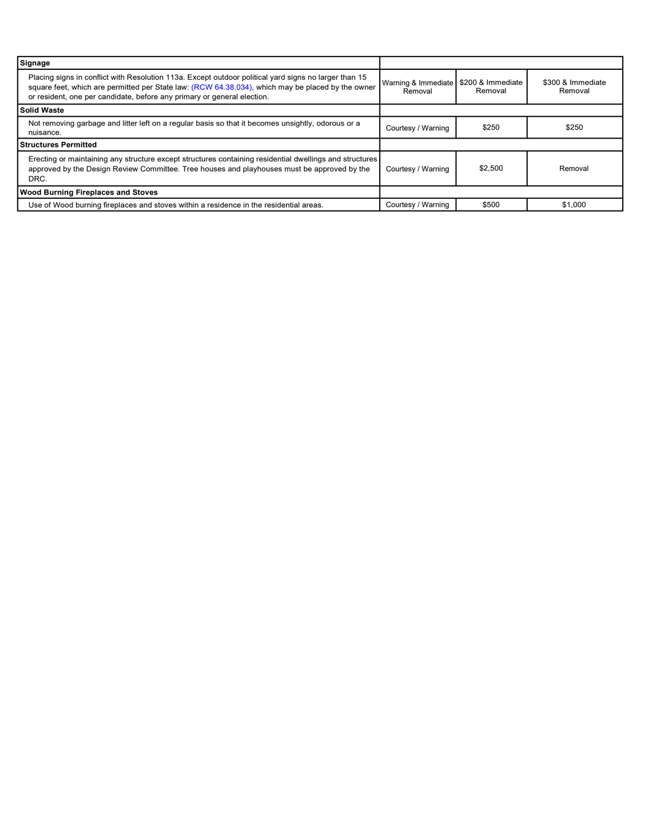| Signage                                                                                                                                                                                                                                                                               |                                |                              |                              |
|---------------------------------------------------------------------------------------------------------------------------------------------------------------------------------------------------------------------------------------------------------------------------------------|--------------------------------|------------------------------|------------------------------|
| Placing signs in conflict with Resolution 113a. Except outdoor political yard signs no larger than 15<br>square feet, which are permitted per State law: (RCW 64.38.034), which may be placed by the owner<br>or resident, one per candidate, before any primary or general election. | Warning & Immediate<br>Removal | \$200 & Immediate<br>Removal | \$300 & Immediate<br>Removal |
| <b>Solid Waste</b>                                                                                                                                                                                                                                                                    |                                |                              |                              |
| Not removing garbage and litter left on a regular basis so that it becomes unsightly, odorous or a<br>nuisance.                                                                                                                                                                       | Courtesy / Warning             | \$250                        | \$250                        |
| <b>Structures Permitted</b>                                                                                                                                                                                                                                                           |                                |                              |                              |
| Erecting or maintaining any structure except structures containing residential dwellings and structures<br>approved by the Design Review Committee. Tree houses and playhouses must be approved by the<br>DRC.                                                                        | Courtesy / Warning             | \$2,500                      | Removal                      |
| <b>Wood Burning Fireplaces and Stoves</b>                                                                                                                                                                                                                                             |                                |                              |                              |
| Use of Wood burning fireplaces and stoves within a residence in the residential areas.                                                                                                                                                                                                | Courtesy / Warning             | \$500                        | \$1,000                      |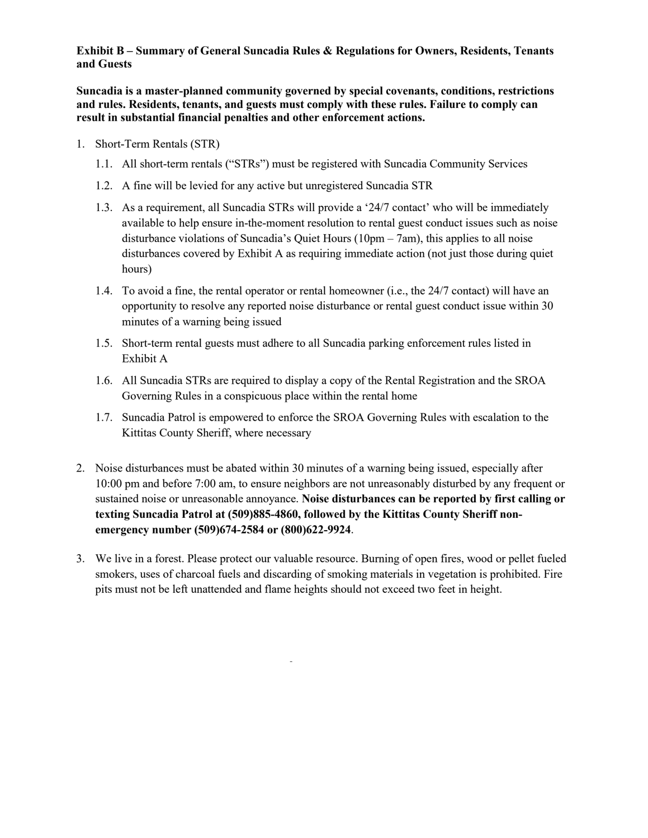#### **Exhibit B – Summary of General Suncadia Rules & Regulations for Owners, Residents, Tenants and Guests**

**Suncadia is a master-planned community governed by special covenants, conditions, restrictions and rules. Residents, tenants, and guests must comply with these rules. Failure to comply can result in substantial financial penalties and other enforcement actions.**

- 1. Short-Term Rentals (STR)
	- 1.1. All short-term rentals ("STRs") must be registered with Suncadia Community Services
	- 1.2. A fine will be levied for any active but unregistered Suncadia STR
	- 1.3. As a requirement, all Suncadia STRs will provide a '24/7 contact' who will be immediately available to help ensure in-the-moment resolution to rental guest conduct issues such as noise disturbance violations of Suncadia's Quiet Hours (10pm – 7am), this applies to all noise disturbances covered by Exhibit A as requiring immediate action (not just those during quiet hours)
	- 1.4. To avoid a fine, the rental operator or rental homeowner (i.e., the 24/7 contact) will have an opportunity to resolve any reported noise disturbance or rental guest conduct issue within 30 minutes of a warning being issued
	- 1.5. Short-term rental guests must adhere to all Suncadia parking enforcement rules listed in Exhibit A
	- 1.6. All Suncadia STRs are required to display a copy of the Rental Registration and the SROA Governing Rules in a conspicuous place within the rental home
	- 1.7. Suncadia Patrol is empowered to enforce the SROA Governing Rules with escalation to the Kittitas County Sheriff, where necessary
- 2. Noise disturbances must be abated within 30 minutes of a warning being issued, especially after 10:00 pm and before 7:00 am, to ensure neighbors are not unreasonably disturbed by any frequent or sustained noise or unreasonable annoyance. **Noise disturbances can be reported by first calling or texting Suncadia Patrol at (509)885-4860, followed by the Kittitas County Sheriff nonemergency number (509)674-2584 or (800)622-9924**.
- 3. We live in a forest. Please protect our valuable resource. Burning of open fires, wood or pellet fueled smokers, uses of charcoal fuels and discarding of smoking materials in vegetation is prohibited. Fire pits must not be left unattended and flame heights should not exceed two feet in height.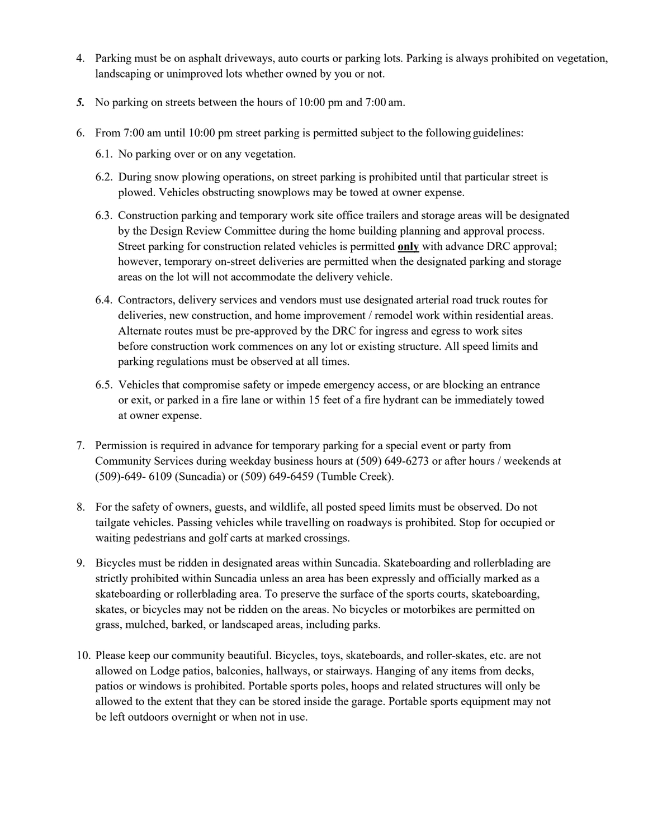- 4. Parking must be on asphalt driveways, auto courts or parking lots. Parking is always prohibited on vegetation, landscaping or unimproved lots whether owned by you or not.
- *5.* No parking on streets between the hours of 10:00 pm and 7:00 am.
- 6. From 7:00 am until 10:00 pm street parking is permitted subject to the following guidelines:
	- 6.1. No parking over or on any vegetation.
	- 6.2. During snow plowing operations, on street parking is prohibited until that particular street is plowed. Vehicles obstructing snowplows may be towed at owner expense.
	- 6.3. Construction parking and temporary work site office trailers and storage areas will be designated by the Design Review Committee during the home building planning and approval process. Street parking for construction related vehicles is permitted **only** with advance DRC approval; however, temporary on-street deliveries are permitted when the designated parking and storage areas on the lot will not accommodate the delivery vehicle.
	- 6.4. Contractors, delivery services and vendors must use designated arterial road truck routes for deliveries, new construction, and home improvement / remodel work within residential areas. Alternate routes must be pre-approved by the DRC for ingress and egress to work sites before construction work commences on any lot or existing structure. All speed limits and parking regulations must be observed at all times.
	- 6.5. Vehicles that compromise safety or impede emergency access, or are blocking an entrance or exit, or parked in a fire lane or within 15 feet of a fire hydrant can be immediately towed at owner expense.
- 7. Permission is required in advance for temporary parking for a special event or party from Community Services during weekday business hours at (509) 649-6273 or after hours / weekends at (509)-649- 6109 (Suncadia) or (509) 649-6459 (Tumble Creek).
- 8. For the safety of owners, guests, and wildlife, all posted speed limits must be observed. Do not tailgate vehicles. Passing vehicles while travelling on roadways is prohibited. Stop for occupied or waiting pedestrians and golf carts at marked crossings.
- 9. Bicycles must be ridden in designated areas within Suncadia. Skateboarding and rollerblading are strictly prohibited within Suncadia unless an area has been expressly and officially marked as a skateboarding or rollerblading area. To preserve the surface of the sports courts, skateboarding, skates, or bicycles may not be ridden on the areas. No bicycles or motorbikes are permitted on grass, mulched, barked, or landscaped areas, including parks.
- 10. Please keep our community beautiful. Bicycles, toys, skateboards, and roller-skates, etc. are not allowed on Lodge patios, balconies, hallways, or stairways. Hanging of any items from decks, patios or windows is prohibited. Portable sports poles, hoops and related structures will only be allowed to the extent that they can be stored inside the garage. Portable sports equipment may not be left outdoors overnight or when not in use.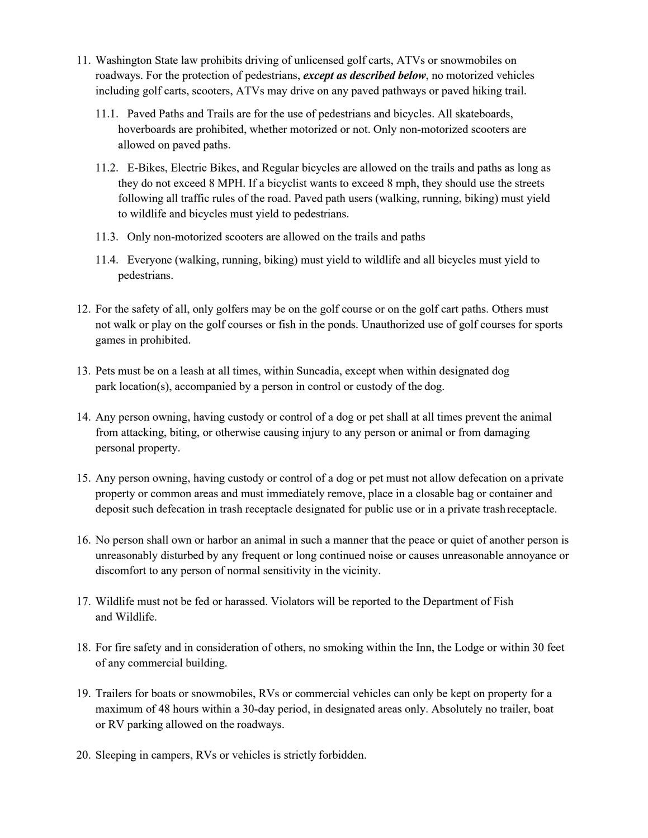- 11. Washington State law prohibits driving of unlicensed golf carts, ATVs or snowmobiles on roadways. For the protection of pedestrians, *except as described below*, no motorized vehicles including golf carts, scooters, ATVs may drive on any paved pathways or paved hiking trail.
	- 11.1. Paved Paths and Trails are for the use of pedestrians and bicycles. All skateboards, hoverboards are prohibited, whether motorized or not. Only non-motorized scooters are allowed on paved paths.
	- 11.2. E-Bikes, Electric Bikes, and Regular bicycles are allowed on the trails and paths as long as they do not exceed 8 MPH. If a bicyclist wants to exceed 8 mph, they should use the streets following all traffic rules of the road. Paved path users (walking, running, biking) must yield to wildlife and bicycles must yield to pedestrians.
	- 11.3. Only non-motorized scooters are allowed on the trails and paths
	- 11.4. Everyone (walking, running, biking) must yield to wildlife and all bicycles must yield to pedestrians.
- 12. For the safety of all, only golfers may be on the golf course or on the golf cart paths. Others must not walk or play on the golf courses or fish in the ponds. Unauthorized use of golf courses for sports games in prohibited.
- 13. Pets must be on a leash at all times, within Suncadia, except when within designated dog park location(s), accompanied by a person in control or custody of the dog.
- 14. Any person owning, having custody or control of a dog or pet shall at all times prevent the animal from attacking, biting, or otherwise causing injury to any person or animal or from damaging personal property.
- 15. Any person owning, having custody or control of a dog or pet must not allow defecation on a private property or common areas and must immediately remove, place in a closable bag or container and deposit such defecation in trash receptacle designated for public use or in a private trashreceptacle.
- 16. No person shall own or harbor an animal in such a manner that the peace or quiet of another person is unreasonably disturbed by any frequent or long continued noise or causes unreasonable annoyance or discomfort to any person of normal sensitivity in the vicinity.
- 17. Wildlife must not be fed or harassed. Violators will be reported to the Department of Fish and Wildlife.
- 18. For fire safety and in consideration of others, no smoking within the Inn, the Lodge or within 30 feet of any commercial building.
- 19. Trailers for boats or snowmobiles, RVs or commercial vehicles can only be kept on property for a maximum of 48 hours within a 30-day period, in designated areas only. Absolutely no trailer, boat or RV parking allowed on the roadways.
- 20. Sleeping in campers, RVs or vehicles is strictly forbidden.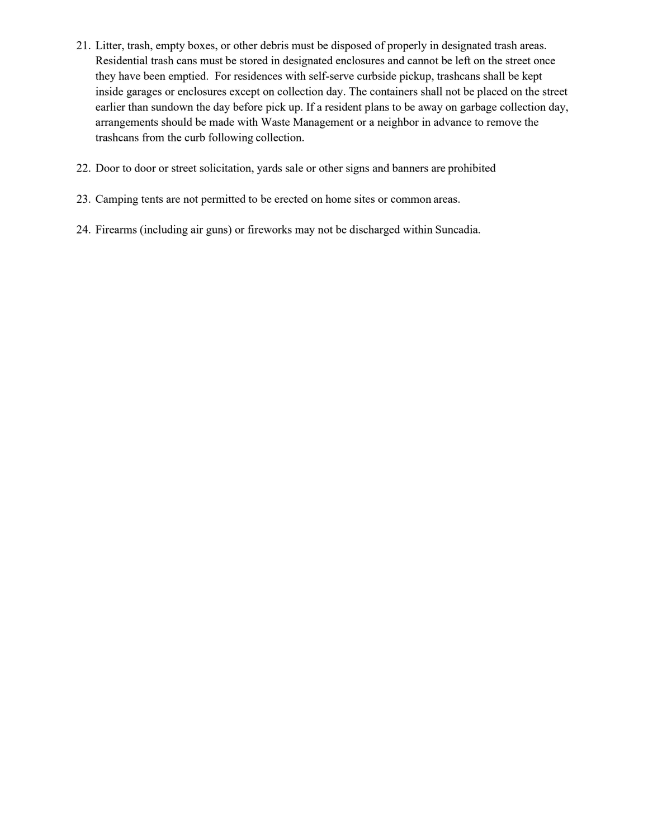- 21. Litter, trash, empty boxes, or other debris must be disposed of properly in designated trash areas. Residential trash cans must be stored in designated enclosures and cannot be left on the street once they have been emptied. For residences with self-serve curbside pickup, trashcans shall be kept inside garages or enclosures except on collection day. The containers shall not be placed on the street earlier than sundown the day before pick up. If a resident plans to be away on garbage collection day, arrangements should be made with Waste Management or a neighbor in advance to remove the trashcans from the curb following collection.
- 22. Door to door or street solicitation, yards sale or other signs and banners are prohibited
- 23. Camping tents are not permitted to be erected on home sites or common areas.
- 24. Firearms (including air guns) or fireworks may not be discharged within Suncadia.